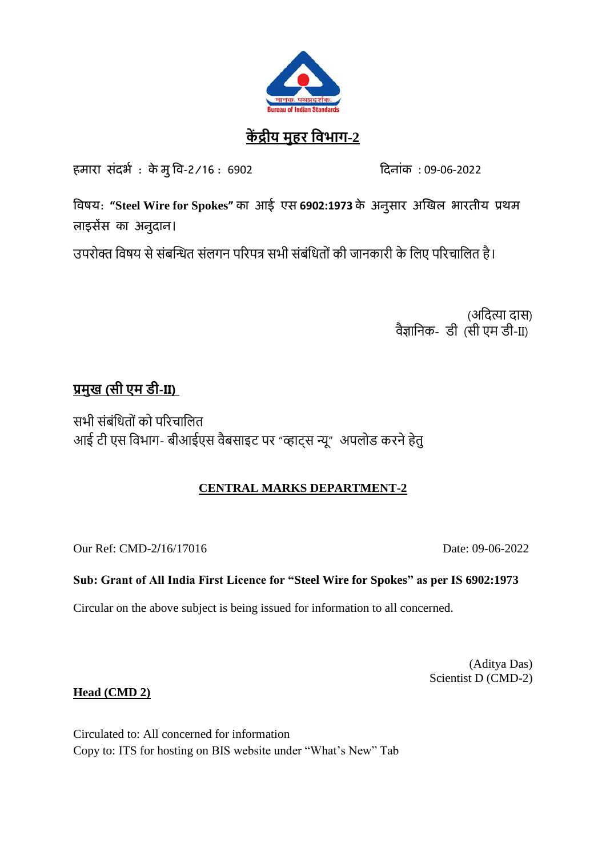

# **कें द्रीय मुहर विभाग-2**

हमारा संदर्भ : केमु वि-2/16 : 6902 दिनांक : 09-06-2022

**विषय: "Steel Wire for Spokes" का आई एस 6902:1973 के अनुसार अखिल भारतीय प्रथम लाइसेंस का अनुदान।** 

उपरोक्त विषय से संबन्धित संलगन पररपत्र सभी संबंवितों की जानकारी के वलए पररचावलत है।

(अदित्या दास) वैज्ञानिक- डी (सी एम डी-II)

# **प्रमुख (सी एम डी-II)**

सभी संबंवितों को पररचावलत आई टी एस विभाग- बीआईएस वैबसाइट पर "व्हाट्स न्यू" अपलोड करने हेतु

## **CENTRAL MARKS DEPARTMENT-2**

Our Ref: CMD-2/16/17016 Date: 09-06-2022

## **Sub: Grant of All India First Licence for "Steel Wire for Spokes" as per IS 6902:1973**

Circular on the above subject is being issued for information to all concerned.

(Aditya Das) Scientist D (CMD-2)

**Head (CMD 2)**

Circulated to: All concerned for information Copy to: ITS for hosting on BIS website under "What's New" Tab